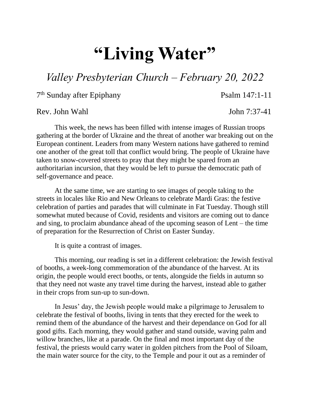## **"Living Water"**

## *Valley Presbyterian Church – February 20, 2022*

7 th Sunday after Epiphany Psalm 147:1-11

Rev. John Wahl John 7:37-41

This week, the news has been filled with intense images of Russian troops gathering at the border of Ukraine and the threat of another war breaking out on the European continent. Leaders from many Western nations have gathered to remind one another of the great toll that conflict would bring. The people of Ukraine have taken to snow-covered streets to pray that they might be spared from an authoritarian incursion, that they would be left to pursue the democratic path of self-governance and peace.

At the same time, we are starting to see images of people taking to the streets in locales like Rio and New Orleans to celebrate Mardi Gras: the festive celebration of parties and parades that will culminate in Fat Tuesday. Though still somewhat muted because of Covid, residents and visitors are coming out to dance and sing, to proclaim abundance ahead of the upcoming season of Lent – the time of preparation for the Resurrection of Christ on Easter Sunday.

It is quite a contrast of images.

This morning, our reading is set in a different celebration: the Jewish festival of booths, a week-long commemoration of the abundance of the harvest. At its origin, the people would erect booths, or tents, alongside the fields in autumn so that they need not waste any travel time during the harvest, instead able to gather in their crops from sun-up to sun-down.

In Jesus' day, the Jewish people would make a pilgrimage to Jerusalem to celebrate the festival of booths, living in tents that they erected for the week to remind them of the abundance of the harvest and their dependance on God for all good gifts. Each morning, they would gather and stand outside, waving palm and willow branches, like at a parade. On the final and most important day of the festival, the priests would carry water in golden pitchers from the Pool of Siloam, the main water source for the city, to the Temple and pour it out as a reminder of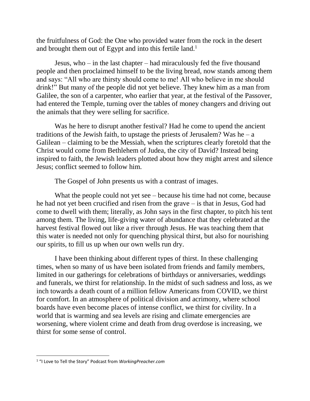the fruitfulness of God: the One who provided water from the rock in the desert and brought them out of Egypt and into this fertile land.<sup>1</sup>

Jesus, who – in the last chapter – had miraculously fed the five thousand people and then proclaimed himself to be the living bread, now stands among them and says: "All who are thirsty should come to me! All who believe in me should drink!" But many of the people did not yet believe. They knew him as a man from Galilee, the son of a carpenter, who earlier that year, at the festival of the Passover, had entered the Temple, turning over the tables of money changers and driving out the animals that they were selling for sacrifice.

Was he here to disrupt another festival? Had he come to upend the ancient traditions of the Jewish faith, to upstage the priests of Jerusalem? Was he – a Galilean – claiming to be the Messiah, when the scriptures clearly foretold that the Christ would come from Bethlehem of Judea, the city of David? Instead being inspired to faith, the Jewish leaders plotted about how they might arrest and silence Jesus; conflict seemed to follow him.

The Gospel of John presents us with a contrast of images.

What the people could not yet see – because his time had not come, because he had not yet been crucified and risen from the grave – is that in Jesus, God had come to dwell with them; literally, as John says in the first chapter, to pitch his tent among them. The living, life-giving water of abundance that they celebrated at the harvest festival flowed out like a river through Jesus. He was teaching them that this water is needed not only for quenching physical thirst, but also for nourishing our spirits, to fill us up when our own wells run dry.

I have been thinking about different types of thirst. In these challenging times, when so many of us have been isolated from friends and family members, limited in our gatherings for celebrations of birthdays or anniversaries, weddings and funerals, we thirst for relationship. In the midst of such sadness and loss, as we inch towards a death count of a million fellow Americans from COVID, we thirst for comfort. In an atmosphere of political division and acrimony, where school boards have even become places of intense conflict, we thirst for civility. In a world that is warming and sea levels are rising and climate emergencies are worsening, where violent crime and death from drug overdose is increasing, we thirst for some sense of control.

 $\overline{\phantom{a}}$ 

<sup>1</sup> "I Love to Tell the Story" Podcast from *WorkingPreacher.com*